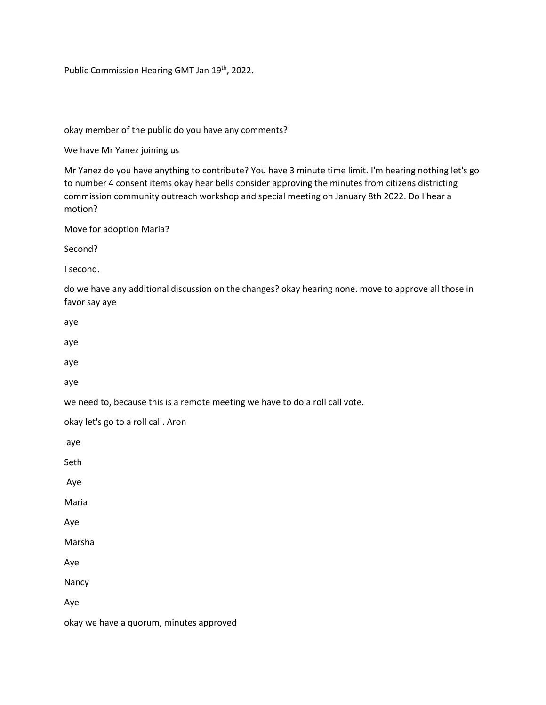Public Commission Hearing GMT Jan 19<sup>th</sup>, 2022.

okay member of the public do you have any comments?

We have Mr Yanez joining us

Mr Yanez do you have anything to contribute? You have 3 minute time limit. I'm hearing nothing let's go to number 4 consent items okay hear bells consider approving the minutes from citizens districting commission community outreach workshop and special meeting on January 8th 2022. Do I hear a motion?

Move for adoption Maria?

Second?

I second.

do we have any additional discussion on the changes? okay hearing none. move to approve all those in favor say aye

aye

aye

aye

aye

we need to, because this is a remote meeting we have to do a roll call vote.

okay let's go to a roll call. Aron

aye

Seth

Aye

Maria

Aye

Marsha

Aye

Nancy

Aye

okay we have a quorum, minutes approved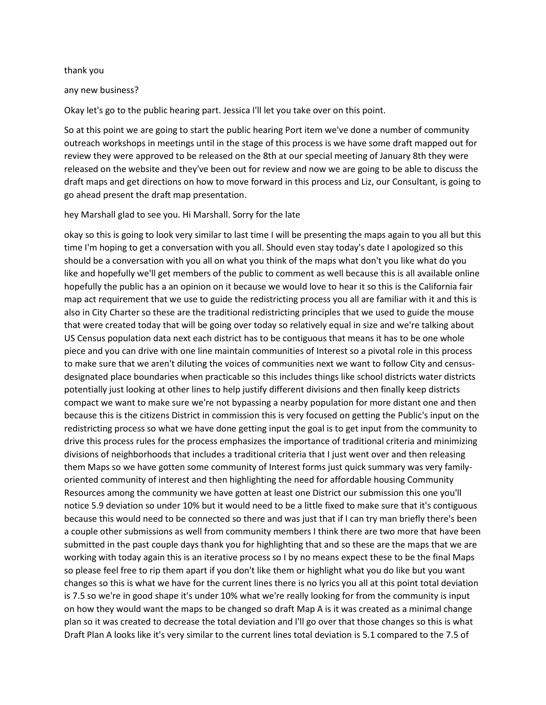#### thank you

#### any new business?

Okay let's go to the public hearing part. Jessica I'll let you take over on this point.

So at this point we are going to start the public hearing Port item we've done a number of community outreach workshops in meetings until in the stage of this process is we have some draft mapped out for review they were approved to be released on the 8th at our special meeting of January 8th they were released on the website and they've been out for review and now we are going to be able to discuss the draft maps and get directions on how to move forward in this process and Liz, our Consultant, is going to go ahead present the draft map presentation.

#### hey Marshall glad to see you. Hi Marshall. Sorry for the late

okay so this is going to look very similar to last time I will be presenting the maps again to you all but this time I'm hoping to get a conversation with you all. Should even stay today's date I apologized so this should be a conversation with you all on what you think of the maps what don't you like what do you like and hopefully we'll get members of the public to comment as well because this is all available online hopefully the public has a an opinion on it because we would love to hear it so this is the California fair map act requirement that we use to guide the redistricting process you all are familiar with it and this is also in City Charter so these are the traditional redistricting principles that we used to guide the mouse that were created today that will be going over today so relatively equal in size and we're talking about US Census population data next each district has to be contiguous that means it has to be one whole piece and you can drive with one line maintain communities of Interest so a pivotal role in this process to make sure that we aren't diluting the voices of communities next we want to follow City and censusdesignated place boundaries when practicable so this includes things like school districts water districts potentially just looking at other lines to help justify different divisions and then finally keep districts compact we want to make sure we're not bypassing a nearby population for more distant one and then because this is the citizens District in commission this is very focused on getting the Public's input on the redistricting process so what we have done getting input the goal is to get input from the community to drive this process rules for the process emphasizes the importance of traditional criteria and minimizing divisions of neighborhoods that includes a traditional criteria that I just went over and then releasing them Maps so we have gotten some community of Interest forms just quick summary was very familyoriented community of interest and then highlighting the need for affordable housing Community Resources among the community we have gotten at least one District our submission this one you'll notice 5.9 deviation so under 10% but it would need to be a little fixed to make sure that it's contiguous because this would need to be connected so there and was just that if I can try man briefly there's been a couple other submissions as well from community members I think there are two more that have been submitted in the past couple days thank you for highlighting that and so these are the maps that we are working with today again this is an iterative process so I by no means expect these to be the final Maps so please feel free to rip them apart if you don't like them or highlight what you do like but you want changes so this is what we have for the current lines there is no lyrics you all at this point total deviation is 7.5 so we're in good shape it's under 10% what we're really looking for from the community is input on how they would want the maps to be changed so draft Map A is it was created as a minimal change plan so it was created to decrease the total deviation and I'll go over that those changes so this is what Draft Plan A looks like it's very similar to the current lines total deviation is 5.1 compared to the 7.5 of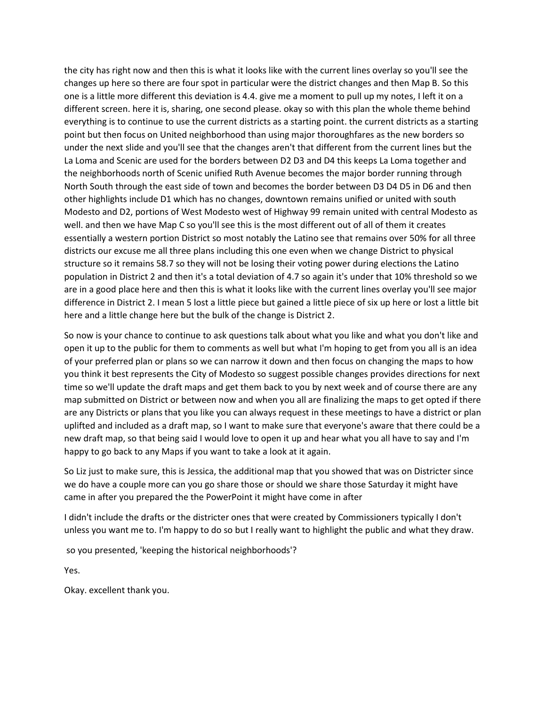the city has right now and then this is what it looks like with the current lines overlay so you'll see the changes up here so there are four spot in particular were the district changes and then Map B. So this one is a little more different this deviation is 4.4. give me a moment to pull up my notes, I left it on a different screen. here it is, sharing, one second please. okay so with this plan the whole theme behind everything is to continue to use the current districts as a starting point. the current districts as a starting point but then focus on United neighborhood than using major thoroughfares as the new borders so under the next slide and you'll see that the changes aren't that different from the current lines but the La Loma and Scenic are used for the borders between D2 D3 and D4 this keeps La Loma together and the neighborhoods north of Scenic unified Ruth Avenue becomes the major border running through North South through the east side of town and becomes the border between D3 D4 D5 in D6 and then other highlights include D1 which has no changes, downtown remains unified or united with south Modesto and D2, portions of West Modesto west of Highway 99 remain united with central Modesto as well. and then we have Map C so you'll see this is the most different out of all of them it creates essentially a western portion District so most notably the Latino see that remains over 50% for all three districts our excuse me all three plans including this one even when we change District to physical structure so it remains 58.7 so they will not be losing their voting power during elections the Latino population in District 2 and then it's a total deviation of 4.7 so again it's under that 10% threshold so we are in a good place here and then this is what it looks like with the current lines overlay you'll see major difference in District 2. I mean 5 lost a little piece but gained a little piece of six up here or lost a little bit here and a little change here but the bulk of the change is District 2.

So now is your chance to continue to ask questions talk about what you like and what you don't like and open it up to the public for them to comments as well but what I'm hoping to get from you all is an idea of your preferred plan or plans so we can narrow it down and then focus on changing the maps to how you think it best represents the City of Modesto so suggest possible changes provides directions for next time so we'll update the draft maps and get them back to you by next week and of course there are any map submitted on District or between now and when you all are finalizing the maps to get opted if there are any Districts or plans that you like you can always request in these meetings to have a district or plan uplifted and included as a draft map, so I want to make sure that everyone's aware that there could be a new draft map, so that being said I would love to open it up and hear what you all have to say and I'm happy to go back to any Maps if you want to take a look at it again.

So Liz just to make sure, this is Jessica, the additional map that you showed that was on Districter since we do have a couple more can you go share those or should we share those Saturday it might have came in after you prepared the the PowerPoint it might have come in after

I didn't include the drafts or the districter ones that were created by Commissioners typically I don't unless you want me to. I'm happy to do so but I really want to highlight the public and what they draw.

so you presented, 'keeping the historical neighborhoods'?

Yes.

Okay. excellent thank you.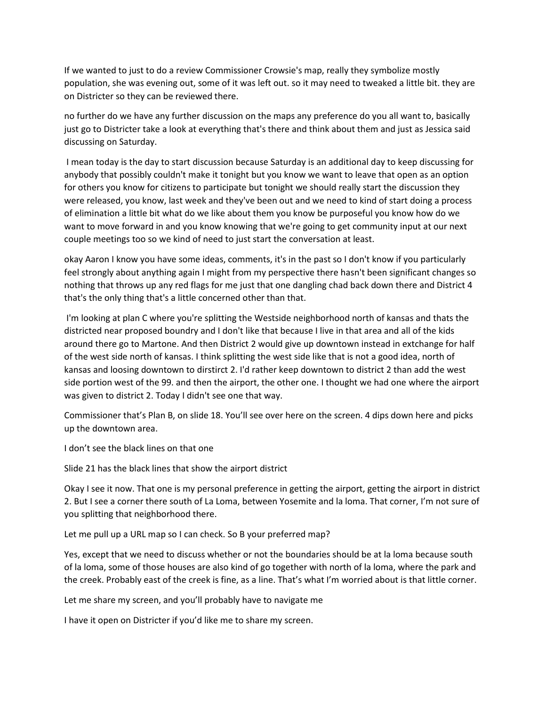If we wanted to just to do a review Commissioner Crowsie's map, really they symbolize mostly population, she was evening out, some of it was left out. so it may need to tweaked a little bit. they are on Districter so they can be reviewed there.

no further do we have any further discussion on the maps any preference do you all want to, basically just go to Districter take a look at everything that's there and think about them and just as Jessica said discussing on Saturday.

I mean today is the day to start discussion because Saturday is an additional day to keep discussing for anybody that possibly couldn't make it tonight but you know we want to leave that open as an option for others you know for citizens to participate but tonight we should really start the discussion they were released, you know, last week and they've been out and we need to kind of start doing a process of elimination a little bit what do we like about them you know be purposeful you know how do we want to move forward in and you know knowing that we're going to get community input at our next couple meetings too so we kind of need to just start the conversation at least.

okay Aaron I know you have some ideas, comments, it's in the past so I don't know if you particularly feel strongly about anything again I might from my perspective there hasn't been significant changes so nothing that throws up any red flags for me just that one dangling chad back down there and District 4 that's the only thing that's a little concerned other than that.

I'm looking at plan C where you're splitting the Westside neighborhood north of kansas and thats the districted near proposed boundry and I don't like that because I live in that area and all of the kids around there go to Martone. And then District 2 would give up downtown instead in extchange for half of the west side north of kansas. I think splitting the west side like that is not a good idea, north of kansas and loosing downtown to dirstirct 2. I'd rather keep downtown to district 2 than add the west side portion west of the 99. and then the airport, the other one. I thought we had one where the airport was given to district 2. Today I didn't see one that way.

Commissioner that's Plan B, on slide 18. You'll see over here on the screen. 4 dips down here and picks up the downtown area.

I don't see the black lines on that one

Slide 21 has the black lines that show the airport district

Okay I see it now. That one is my personal preference in getting the airport, getting the airport in district 2. But I see a corner there south of La Loma, between Yosemite and la loma. That corner, I'm not sure of you splitting that neighborhood there.

Let me pull up a URL map so I can check. So B your preferred map?

Yes, except that we need to discuss whether or not the boundaries should be at la loma because south of la loma, some of those houses are also kind of go together with north of la loma, where the park and the creek. Probably east of the creek is fine, as a line. That's what I'm worried about is that little corner.

Let me share my screen, and you'll probably have to navigate me

I have it open on Districter if you'd like me to share my screen.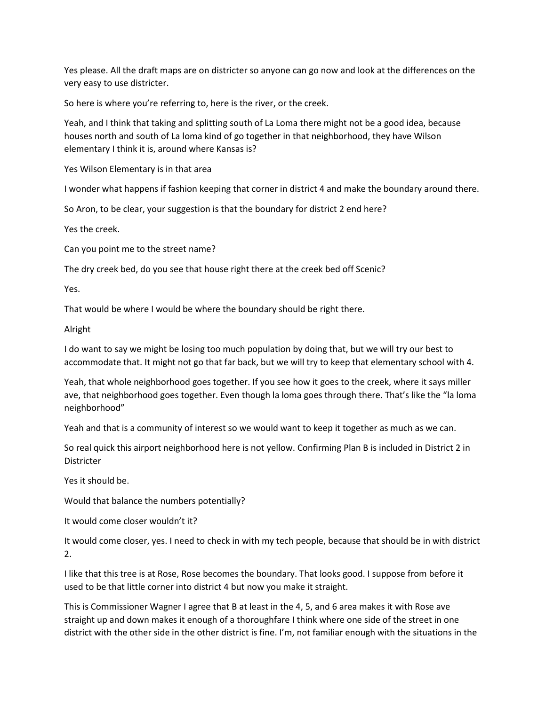Yes please. All the draft maps are on districter so anyone can go now and look at the differences on the very easy to use districter.

So here is where you're referring to, here is the river, or the creek.

Yeah, and I think that taking and splitting south of La Loma there might not be a good idea, because houses north and south of La loma kind of go together in that neighborhood, they have Wilson elementary I think it is, around where Kansas is?

Yes Wilson Elementary is in that area

I wonder what happens if fashion keeping that corner in district 4 and make the boundary around there.

So Aron, to be clear, your suggestion is that the boundary for district 2 end here?

Yes the creek.

Can you point me to the street name?

The dry creek bed, do you see that house right there at the creek bed off Scenic?

Yes.

That would be where I would be where the boundary should be right there.

Alright

I do want to say we might be losing too much population by doing that, but we will try our best to accommodate that. It might not go that far back, but we will try to keep that elementary school with 4.

Yeah, that whole neighborhood goes together. If you see how it goes to the creek, where it says miller ave, that neighborhood goes together. Even though la loma goes through there. That's like the "la loma neighborhood"

Yeah and that is a community of interest so we would want to keep it together as much as we can.

So real quick this airport neighborhood here is not yellow. Confirming Plan B is included in District 2 in **Districter** 

Yes it should be.

Would that balance the numbers potentially?

It would come closer wouldn't it?

It would come closer, yes. I need to check in with my tech people, because that should be in with district 2.

I like that this tree is at Rose, Rose becomes the boundary. That looks good. I suppose from before it used to be that little corner into district 4 but now you make it straight.

This is Commissioner Wagner I agree that B at least in the 4, 5, and 6 area makes it with Rose ave straight up and down makes it enough of a thoroughfare I think where one side of the street in one district with the other side in the other district is fine. I'm, not familiar enough with the situations in the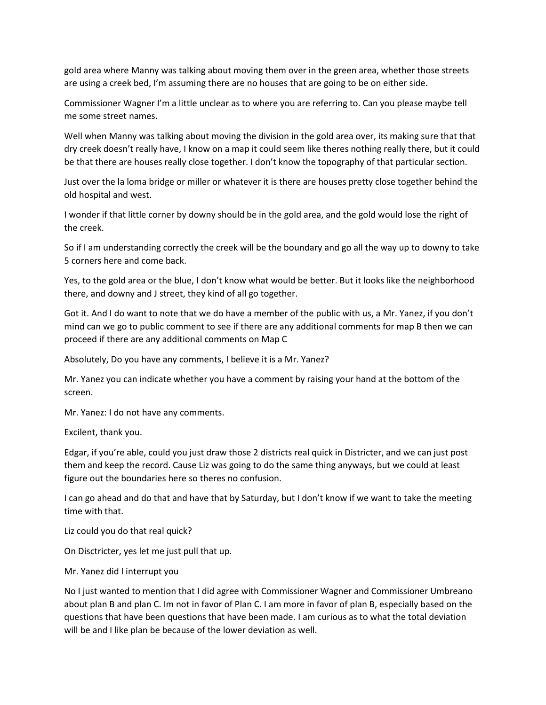gold area where Manny was talking about moving them over in the green area, whether those streets are using a creek bed, I'm assuming there are no houses that are going to be on either side.

Commissioner Wagner I'm a little unclear as to where you are referring to. Can you please maybe tell me some street names.

Well when Manny was talking about moving the division in the gold area over, its making sure that that dry creek doesn't really have, I know on a map it could seem like theres nothing really there, but it could be that there are houses really close together. I don't know the topography of that particular section.

Just over the la loma bridge or miller or whatever it is there are houses pretty close together behind the old hospital and west.

I wonder if that little corner by downy should be in the gold area, and the gold would lose the right of the creek.

So if I am understanding correctly the creek will be the boundary and go all the way up to downy to take 5 corners here and come back.

Yes, to the gold area or the blue, I don't know what would be better. But it looks like the neighborhood there, and downy and J street, they kind of all go together.

Got it. And I do want to note that we do have a member of the public with us, a Mr. Yanez, if you don't mind can we go to public comment to see if there are any additional comments for map B then we can proceed if there are any additional comments on Map C

Absolutely, Do you have any comments, I believe it is a Mr. Yanez?

Mr. Yanez you can indicate whether you have a comment by raising your hand at the bottom of the screen.

Mr. Yanez: I do not have any comments.

Excilent, thank you.

Edgar, if you're able, could you just draw those 2 districts real quick in Districter, and we can just post them and keep the record. Cause Liz was going to do the same thing anyways, but we could at least figure out the boundaries here so theres no confusion.

I can go ahead and do that and have that by Saturday, but I don't know if we want to take the meeting time with that.

Liz could you do that real quick?

On Disctricter, yes let me just pull that up.

Mr. Yanez did I interrupt you

No I just wanted to mention that I did agree with Commissioner Wagner and Commissioner Umbreano about plan B and plan C. Im not in favor of Plan C. I am more in favor of plan B, especially based on the questions that have been questions that have been made. I am curious as to what the total deviation will be and I like plan be because of the lower deviation as well.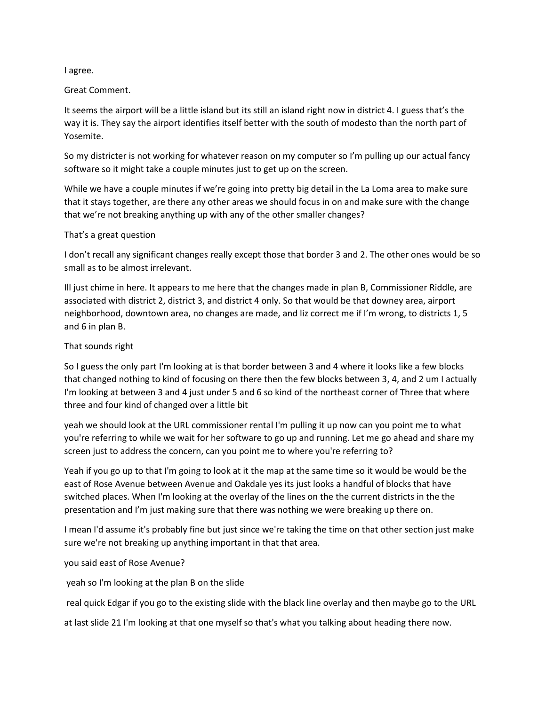#### I agree.

# Great Comment.

It seems the airport will be a little island but its still an island right now in district 4. I guess that's the way it is. They say the airport identifies itself better with the south of modesto than the north part of Yosemite.

So my districter is not working for whatever reason on my computer so I'm pulling up our actual fancy software so it might take a couple minutes just to get up on the screen.

While we have a couple minutes if we're going into pretty big detail in the La Loma area to make sure that it stays together, are there any other areas we should focus in on and make sure with the change that we're not breaking anything up with any of the other smaller changes?

#### That's a great question

I don't recall any significant changes really except those that border 3 and 2. The other ones would be so small as to be almost irrelevant.

Ill just chime in here. It appears to me here that the changes made in plan B, Commissioner Riddle, are associated with district 2, district 3, and district 4 only. So that would be that downey area, airport neighborhood, downtown area, no changes are made, and liz correct me if I'm wrong, to districts 1, 5 and 6 in plan B.

# That sounds right

So I guess the only part I'm looking at is that border between 3 and 4 where it looks like a few blocks that changed nothing to kind of focusing on there then the few blocks between 3, 4, and 2 um I actually I'm looking at between 3 and 4 just under 5 and 6 so kind of the northeast corner of Three that where three and four kind of changed over a little bit

yeah we should look at the URL commissioner rental I'm pulling it up now can you point me to what you're referring to while we wait for her software to go up and running. Let me go ahead and share my screen just to address the concern, can you point me to where you're referring to?

Yeah if you go up to that I'm going to look at it the map at the same time so it would be would be the east of Rose Avenue between Avenue and Oakdale yes its just looks a handful of blocks that have switched places. When I'm looking at the overlay of the lines on the the current districts in the the presentation and I'm just making sure that there was nothing we were breaking up there on.

I mean I'd assume it's probably fine but just since we're taking the time on that other section just make sure we're not breaking up anything important in that that area.

# you said east of Rose Avenue?

yeah so I'm looking at the plan B on the slide

real quick Edgar if you go to the existing slide with the black line overlay and then maybe go to the URL

at last slide 21 I'm looking at that one myself so that's what you talking about heading there now.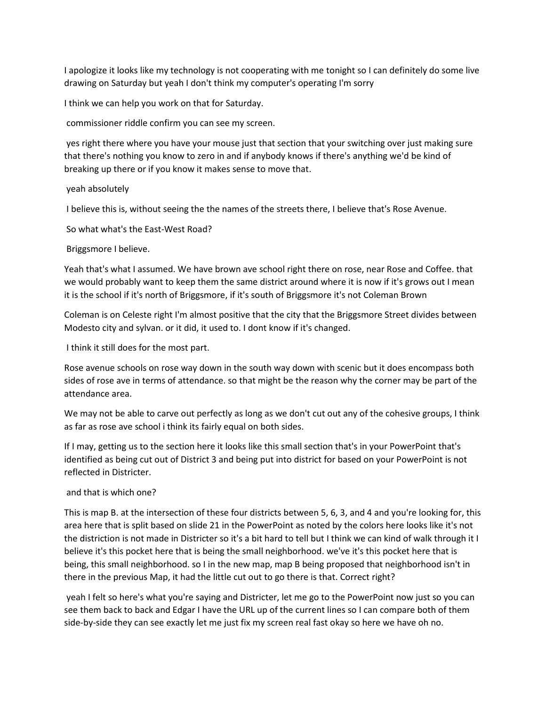I apologize it looks like my technology is not cooperating with me tonight so I can definitely do some live drawing on Saturday but yeah I don't think my computer's operating I'm sorry

I think we can help you work on that for Saturday.

commissioner riddle confirm you can see my screen.

yes right there where you have your mouse just that section that your switching over just making sure that there's nothing you know to zero in and if anybody knows if there's anything we'd be kind of breaking up there or if you know it makes sense to move that.

# yeah absolutely

I believe this is, without seeing the the names of the streets there, I believe that's Rose Avenue.

So what what's the East-West Road?

Briggsmore I believe.

Yeah that's what I assumed. We have brown ave school right there on rose, near Rose and Coffee. that we would probably want to keep them the same district around where it is now if it's grows out I mean it is the school if it's north of Briggsmore, if it's south of Briggsmore it's not Coleman Brown

Coleman is on Celeste right I'm almost positive that the city that the Briggsmore Street divides between Modesto city and sylvan. or it did, it used to. I dont know if it's changed.

I think it still does for the most part.

Rose avenue schools on rose way down in the south way down with scenic but it does encompass both sides of rose ave in terms of attendance. so that might be the reason why the corner may be part of the attendance area.

We may not be able to carve out perfectly as long as we don't cut out any of the cohesive groups, I think as far as rose ave school i think its fairly equal on both sides.

If I may, getting us to the section here it looks like this small section that's in your PowerPoint that's identified as being cut out of District 3 and being put into district for based on your PowerPoint is not reflected in Districter.

# and that is which one?

This is map B. at the intersection of these four districts between 5, 6, 3, and 4 and you're looking for, this area here that is split based on slide 21 in the PowerPoint as noted by the colors here looks like it's not the distriction is not made in Districter so it's a bit hard to tell but I think we can kind of walk through it I believe it's this pocket here that is being the small neighborhood. we've it's this pocket here that is being, this small neighborhood. so I in the new map, map B being proposed that neighborhood isn't in there in the previous Map, it had the little cut out to go there is that. Correct right?

yeah I felt so here's what you're saying and Districter, let me go to the PowerPoint now just so you can see them back to back and Edgar I have the URL up of the current lines so I can compare both of them side-by-side they can see exactly let me just fix my screen real fast okay so here we have oh no.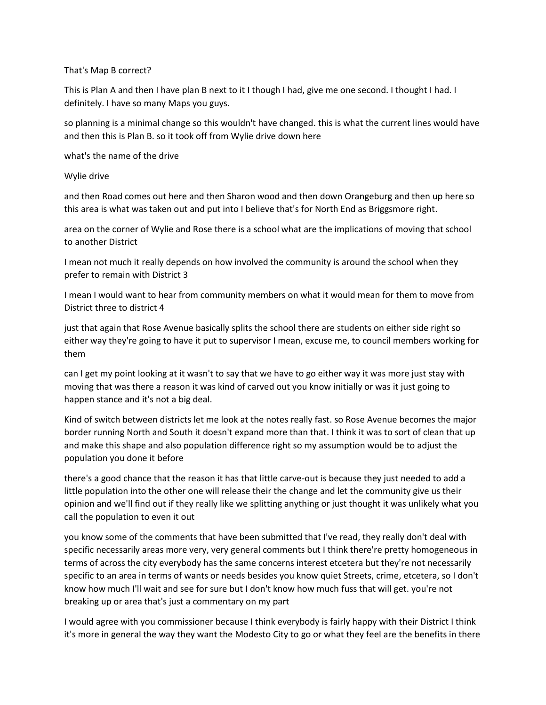# That's Map B correct?

This is Plan A and then I have plan B next to it I though I had, give me one second. I thought I had. I definitely. I have so many Maps you guys.

so planning is a minimal change so this wouldn't have changed. this is what the current lines would have and then this is Plan B. so it took off from Wylie drive down here

what's the name of the drive

Wylie drive

and then Road comes out here and then Sharon wood and then down Orangeburg and then up here so this area is what was taken out and put into I believe that's for North End as Briggsmore right.

area on the corner of Wylie and Rose there is a school what are the implications of moving that school to another District

I mean not much it really depends on how involved the community is around the school when they prefer to remain with District 3

I mean I would want to hear from community members on what it would mean for them to move from District three to district 4

just that again that Rose Avenue basically splits the school there are students on either side right so either way they're going to have it put to supervisor I mean, excuse me, to council members working for them

can I get my point looking at it wasn't to say that we have to go either way it was more just stay with moving that was there a reason it was kind of carved out you know initially or was it just going to happen stance and it's not a big deal.

Kind of switch between districts let me look at the notes really fast. so Rose Avenue becomes the major border running North and South it doesn't expand more than that. I think it was to sort of clean that up and make this shape and also population difference right so my assumption would be to adjust the population you done it before

there's a good chance that the reason it has that little carve-out is because they just needed to add a little population into the other one will release their the change and let the community give us their opinion and we'll find out if they really like we splitting anything or just thought it was unlikely what you call the population to even it out

you know some of the comments that have been submitted that I've read, they really don't deal with specific necessarily areas more very, very general comments but I think there're pretty homogeneous in terms of across the city everybody has the same concerns interest etcetera but they're not necessarily specific to an area in terms of wants or needs besides you know quiet Streets, crime, etcetera, so I don't know how much I'll wait and see for sure but I don't know how much fuss that will get. you're not breaking up or area that's just a commentary on my part

I would agree with you commissioner because I think everybody is fairly happy with their District I think it's more in general the way they want the Modesto City to go or what they feel are the benefits in there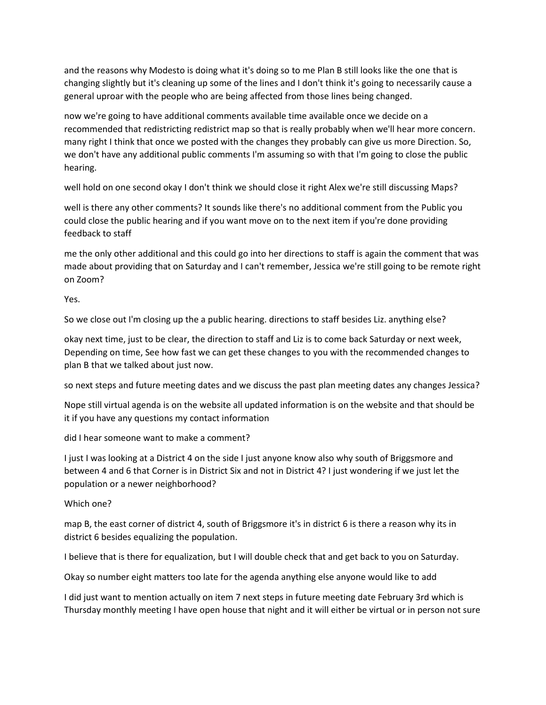and the reasons why Modesto is doing what it's doing so to me Plan B still looks like the one that is changing slightly but it's cleaning up some of the lines and I don't think it's going to necessarily cause a general uproar with the people who are being affected from those lines being changed.

now we're going to have additional comments available time available once we decide on a recommended that redistricting redistrict map so that is really probably when we'll hear more concern. many right I think that once we posted with the changes they probably can give us more Direction. So, we don't have any additional public comments I'm assuming so with that I'm going to close the public hearing.

well hold on one second okay I don't think we should close it right Alex we're still discussing Maps?

well is there any other comments? It sounds like there's no additional comment from the Public you could close the public hearing and if you want move on to the next item if you're done providing feedback to staff

me the only other additional and this could go into her directions to staff is again the comment that was made about providing that on Saturday and I can't remember, Jessica we're still going to be remote right on Zoom?

Yes.

So we close out I'm closing up the a public hearing. directions to staff besides Liz. anything else?

okay next time, just to be clear, the direction to staff and Liz is to come back Saturday or next week, Depending on time, See how fast we can get these changes to you with the recommended changes to plan B that we talked about just now.

so next steps and future meeting dates and we discuss the past plan meeting dates any changes Jessica?

Nope still virtual agenda is on the website all updated information is on the website and that should be it if you have any questions my contact information

did I hear someone want to make a comment?

I just I was looking at a District 4 on the side I just anyone know also why south of Briggsmore and between 4 and 6 that Corner is in District Six and not in District 4? I just wondering if we just let the population or a newer neighborhood?

Which one?

map B, the east corner of district 4, south of Briggsmore it's in district 6 is there a reason why its in district 6 besides equalizing the population.

I believe that is there for equalization, but I will double check that and get back to you on Saturday.

Okay so number eight matters too late for the agenda anything else anyone would like to add

I did just want to mention actually on item 7 next steps in future meeting date February 3rd which is Thursday monthly meeting I have open house that night and it will either be virtual or in person not sure